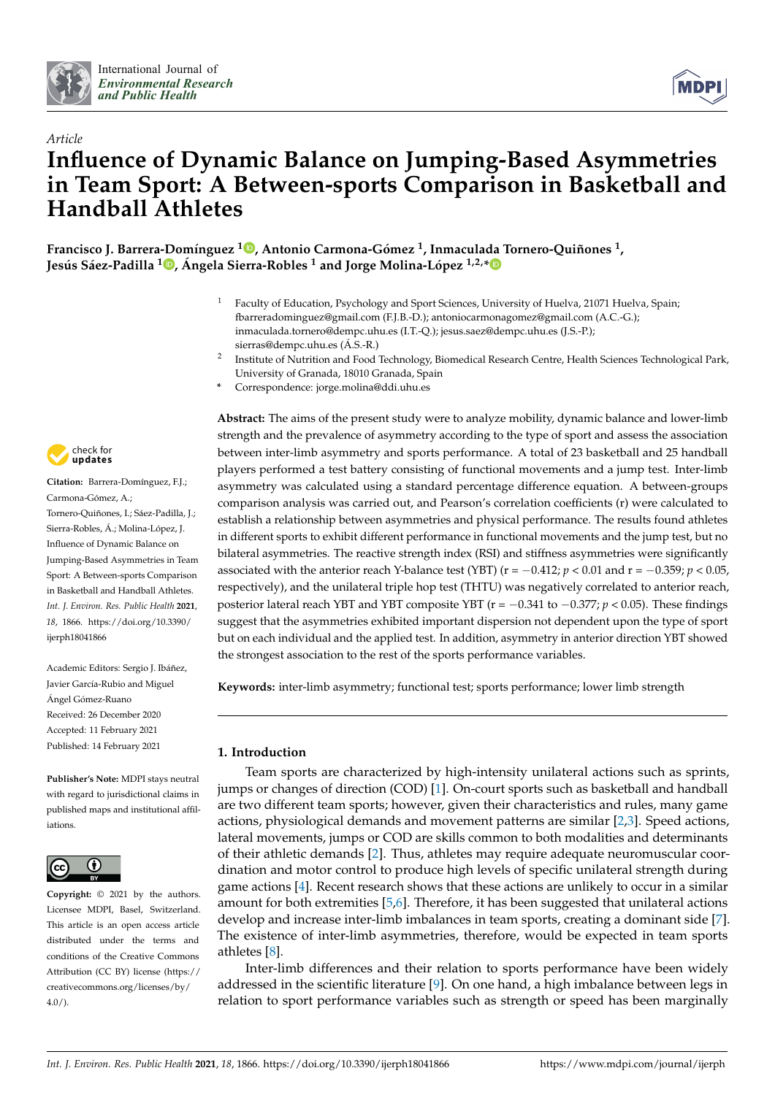



# *Article* **Influence of Dynamic Balance on Jumping-Based Asymmetries in Team Sport: A Between-sports Comparison in Basketball and Handball Athletes**

**Francisco J. Barrera[-Do](https://orcid.org/0000-0002-7717-2121)mínguez <sup>1</sup> [,](https://orcid.org/0000-0002-5387-1788) Antonio Carmona-Gómez <sup>1</sup> , Inmaculada Tornero-Quiñones <sup>1</sup> , Jesús Sáez-Padilla <sup>1</sup> , Ángela Sierra-Robles <sup>1</sup> and Jorge Molina-López 1,2,[\\*](https://orcid.org/0000-0003-2516-5226)**

- <sup>1</sup> Faculty of Education, Psychology and Sport Sciences, University of Huelva, 21071 Huelva, Spain; fbarreradominguez@gmail.com (F.J.B.-D.); antoniocarmonagomez@gmail.com (A.C.-G.); inmaculada.tornero@dempc.uhu.es (I.T.-Q.); jesus.saez@dempc.uhu.es (J.S.-P.); sierras@dempc.uhu.es (Á.S.-R.)
- 2 Institute of Nutrition and Food Technology, Biomedical Research Centre, Health Sciences Technological Park, University of Granada, 18010 Granada, Spain
- **\*** Correspondence: jorge.molina@ddi.uhu.es



**Citation:** Barrera-Domínguez, F.J.; Carmona-Gómez, A.; Tornero-Quiñones, I.; Sáez-Padilla, J.; Sierra-Robles, Á.; Molina-López, J. Influence of Dynamic Balance on Jumping-Based Asymmetries in Team Sport: A Between-sports Comparison in Basketball and Handball Athletes. *Int. J. Environ. Res. Public Health* **2021**, *18*, 1866. [https://doi.org/10.3390/](https://doi.org/10.3390/ijerph18041866) [ijerph18041866](https://doi.org/10.3390/ijerph18041866)

Academic Editors: Sergio J. Ibáñez, Javier García-Rubio and Miguel Ángel Gómez-Ruano Received: 26 December 2020 Accepted: 11 February 2021 Published: 14 February 2021

**Publisher's Note:** MDPI stays neutral with regard to jurisdictional claims in published maps and institutional affiliations.



**Copyright:** © 2021 by the authors. Licensee MDPI, Basel, Switzerland. This article is an open access article distributed under the terms and conditions of the Creative Commons Attribution (CC BY) license (https:/[/](https://creativecommons.org/licenses/by/4.0/) [creativecommons.org/licenses/by/](https://creativecommons.org/licenses/by/4.0/)  $4.0/$ ).

**Abstract:** The aims of the present study were to analyze mobility, dynamic balance and lower-limb strength and the prevalence of asymmetry according to the type of sport and assess the association between inter-limb asymmetry and sports performance. A total of 23 basketball and 25 handball players performed a test battery consisting of functional movements and a jump test. Inter-limb asymmetry was calculated using a standard percentage difference equation. A between-groups comparison analysis was carried out, and Pearson's correlation coefficients (r) were calculated to establish a relationship between asymmetries and physical performance. The results found athletes in different sports to exhibit different performance in functional movements and the jump test, but no bilateral asymmetries. The reactive strength index (RSI) and stiffness asymmetries were significantly associated with the anterior reach Y-balance test (YBT) ( $r = -0.412$ ;  $p < 0.01$  and  $r = -0.359$ ;  $p < 0.05$ , respectively), and the unilateral triple hop test (THTU) was negatively correlated to anterior reach, posterior lateral reach YBT and YBT composite YBT (r = −0.341 to −0.377; *p* < 0.05). These findings suggest that the asymmetries exhibited important dispersion not dependent upon the type of sport but on each individual and the applied test. In addition, asymmetry in anterior direction YBT showed the strongest association to the rest of the sports performance variables.

**Keywords:** inter-limb asymmetry; functional test; sports performance; lower limb strength

## **1. Introduction**

Team sports are characterized by high-intensity unilateral actions such as sprints, jumps or changes of direction (COD) [\[1\]](#page-10-0). On-court sports such as basketball and handball are two different team sports; however, given their characteristics and rules, many game actions, physiological demands and movement patterns are similar [\[2,](#page-10-1)[3\]](#page-10-2). Speed actions, lateral movements, jumps or COD are skills common to both modalities and determinants of their athletic demands [\[2\]](#page-10-1). Thus, athletes may require adequate neuromuscular coordination and motor control to produce high levels of specific unilateral strength during game actions [\[4\]](#page-10-3). Recent research shows that these actions are unlikely to occur in a similar amount for both extremities [\[5](#page-10-4)[,6\]](#page-10-5). Therefore, it has been suggested that unilateral actions develop and increase inter-limb imbalances in team sports, creating a dominant side [\[7\]](#page-10-6). The existence of inter-limb asymmetries, therefore, would be expected in team sports athletes [\[8\]](#page-10-7).

Inter-limb differences and their relation to sports performance have been widely addressed in the scientific literature [\[9\]](#page-10-8). On one hand, a high imbalance between legs in relation to sport performance variables such as strength or speed has been marginally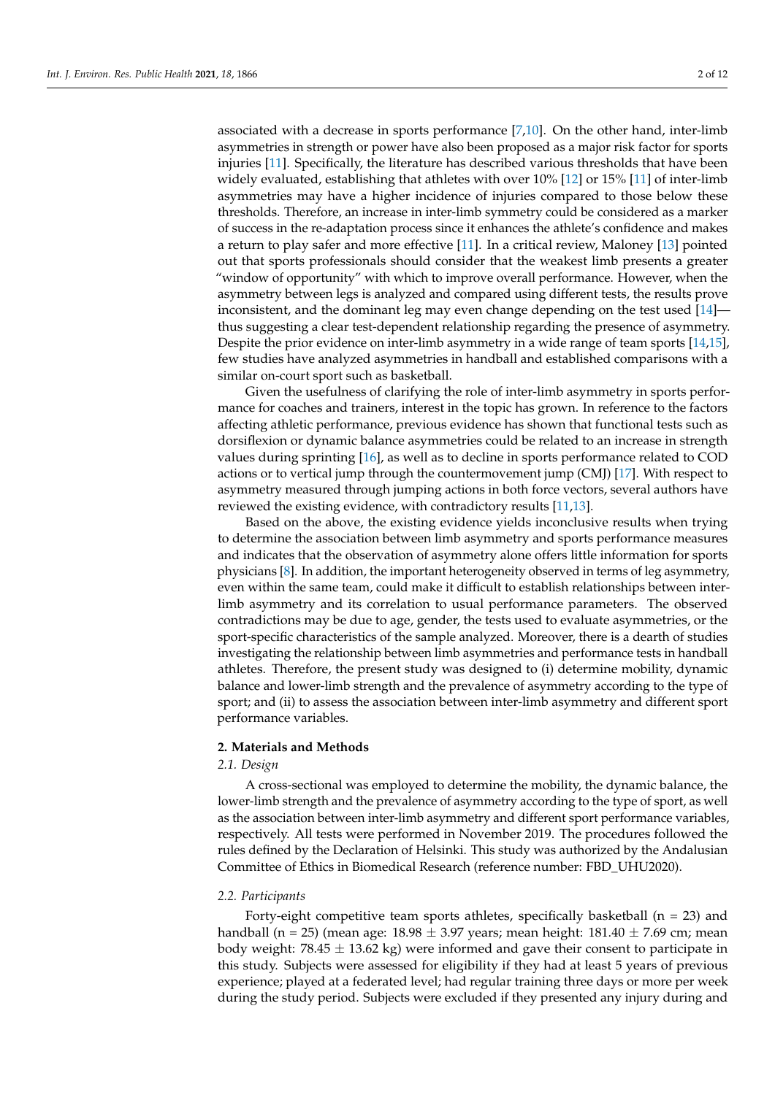associated with a decrease in sports performance [\[7](#page-10-6)[,10\]](#page-10-9). On the other hand, inter-limb asymmetries in strength or power have also been proposed as a major risk factor for sports injuries [\[11\]](#page-10-10). Specifically, the literature has described various thresholds that have been widely evaluated, establishing that athletes with over 10% [\[12\]](#page-10-11) or 15% [\[11\]](#page-10-10) of inter-limb asymmetries may have a higher incidence of injuries compared to those below these thresholds. Therefore, an increase in inter-limb symmetry could be considered as a marker of success in the re-adaptation process since it enhances the athlete's confidence and makes a return to play safer and more effective [\[11\]](#page-10-10). In a critical review, Maloney [\[13\]](#page-10-12) pointed out that sports professionals should consider that the weakest limb presents a greater "window of opportunity" with which to improve overall performance. However, when the asymmetry between legs is analyzed and compared using different tests, the results prove inconsistent, and the dominant leg may even change depending on the test used [\[14\]](#page-10-13) thus suggesting a clear test-dependent relationship regarding the presence of asymmetry. Despite the prior evidence on inter-limb asymmetry in a wide range of team sports [\[14](#page-10-13)[,15\]](#page-10-14), few studies have analyzed asymmetries in handball and established comparisons with a similar on-court sport such as basketball.

Given the usefulness of clarifying the role of inter-limb asymmetry in sports performance for coaches and trainers, interest in the topic has grown. In reference to the factors affecting athletic performance, previous evidence has shown that functional tests such as dorsiflexion or dynamic balance asymmetries could be related to an increase in strength values during sprinting [\[16\]](#page-10-15), as well as to decline in sports performance related to COD actions or to vertical jump through the countermovement jump (CMJ) [\[17\]](#page-10-16). With respect to asymmetry measured through jumping actions in both force vectors, several authors have reviewed the existing evidence, with contradictory results [\[11,](#page-10-10)[13\]](#page-10-12).

Based on the above, the existing evidence yields inconclusive results when trying to determine the association between limb asymmetry and sports performance measures and indicates that the observation of asymmetry alone offers little information for sports physicians [\[8\]](#page-10-7). In addition, the important heterogeneity observed in terms of leg asymmetry, even within the same team, could make it difficult to establish relationships between interlimb asymmetry and its correlation to usual performance parameters. The observed contradictions may be due to age, gender, the tests used to evaluate asymmetries, or the sport-specific characteristics of the sample analyzed. Moreover, there is a dearth of studies investigating the relationship between limb asymmetries and performance tests in handball athletes. Therefore, the present study was designed to (i) determine mobility, dynamic balance and lower-limb strength and the prevalence of asymmetry according to the type of sport; and (ii) to assess the association between inter-limb asymmetry and different sport performance variables.

#### **2. Materials and Methods**

#### *2.1. Design*

A cross-sectional was employed to determine the mobility, the dynamic balance, the lower-limb strength and the prevalence of asymmetry according to the type of sport, as well as the association between inter-limb asymmetry and different sport performance variables, respectively. All tests were performed in November 2019. The procedures followed the rules defined by the Declaration of Helsinki. This study was authorized by the Andalusian Committee of Ethics in Biomedical Research (reference number: FBD\_UHU2020).

#### *2.2. Participants*

Forty-eight competitive team sports athletes, specifically basketball ( $n = 23$ ) and handball (n = 25) (mean age:  $18.98 \pm 3.97$  years; mean height:  $181.40 \pm 7.69$  cm; mean body weight:  $78.45 \pm 13.62$  kg) were informed and gave their consent to participate in this study. Subjects were assessed for eligibility if they had at least 5 years of previous experience; played at a federated level; had regular training three days or more per week during the study period. Subjects were excluded if they presented any injury during and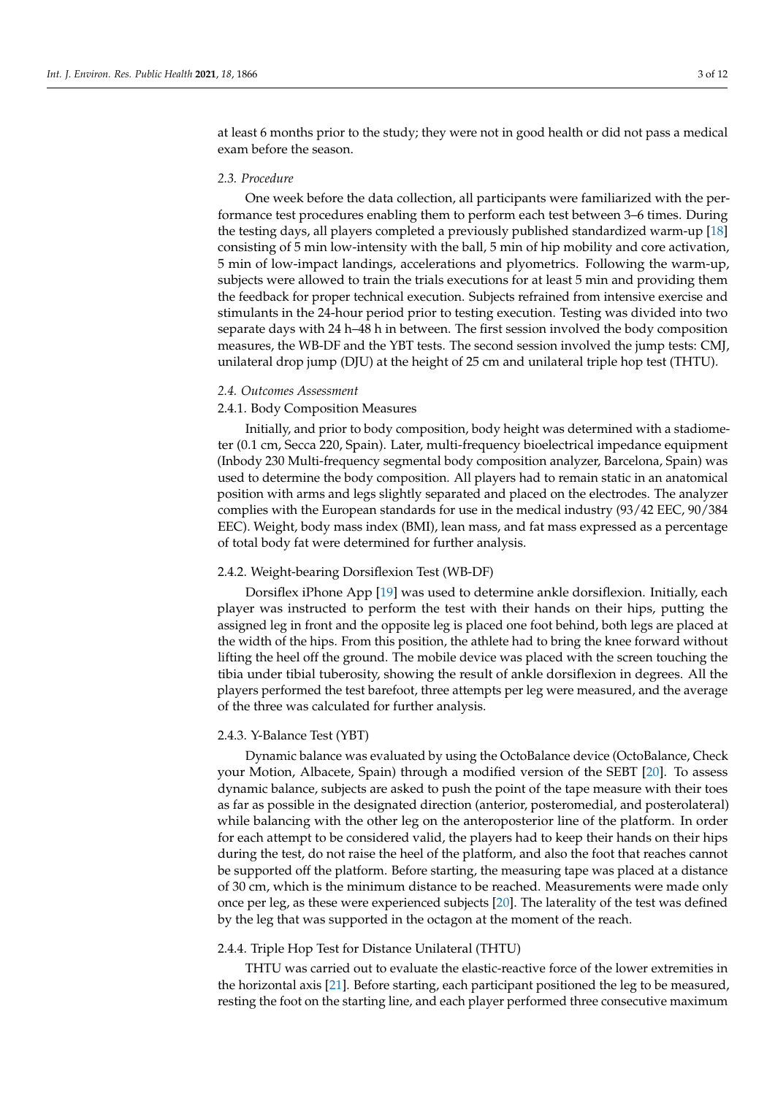at least 6 months prior to the study; they were not in good health or did not pass a medical exam before the season.

#### *2.3. Procedure*

One week before the data collection, all participants were familiarized with the performance test procedures enabling them to perform each test between 3–6 times. During the testing days, all players completed a previously published standardized warm-up [\[18\]](#page-10-17) consisting of 5 min low-intensity with the ball, 5 min of hip mobility and core activation, 5 min of low-impact landings, accelerations and plyometrics. Following the warm-up, subjects were allowed to train the trials executions for at least 5 min and providing them the feedback for proper technical execution. Subjects refrained from intensive exercise and stimulants in the 24-hour period prior to testing execution. Testing was divided into two separate days with 24 h–48 h in between. The first session involved the body composition measures, the WB-DF and the YBT tests. The second session involved the jump tests: CMJ, unilateral drop jump (DJU) at the height of 25 cm and unilateral triple hop test (THTU).

## *2.4. Outcomes Assessment*

## 2.4.1. Body Composition Measures

Initially, and prior to body composition, body height was determined with a stadiometer (0.1 cm, Secca 220, Spain). Later, multi-frequency bioelectrical impedance equipment (Inbody 230 Multi-frequency segmental body composition analyzer, Barcelona, Spain) was used to determine the body composition. All players had to remain static in an anatomical position with arms and legs slightly separated and placed on the electrodes. The analyzer complies with the European standards for use in the medical industry (93/42 EEC, 90/384 EEC). Weight, body mass index (BMI), lean mass, and fat mass expressed as a percentage of total body fat were determined for further analysis.

#### 2.4.2. Weight-bearing Dorsiflexion Test (WB-DF)

Dorsiflex iPhone App [\[19\]](#page-10-18) was used to determine ankle dorsiflexion. Initially, each player was instructed to perform the test with their hands on their hips, putting the assigned leg in front and the opposite leg is placed one foot behind, both legs are placed at the width of the hips. From this position, the athlete had to bring the knee forward without lifting the heel off the ground. The mobile device was placed with the screen touching the tibia under tibial tuberosity, showing the result of ankle dorsiflexion in degrees. All the players performed the test barefoot, three attempts per leg were measured, and the average of the three was calculated for further analysis.

#### 2.4.3. Y-Balance Test (YBT)

Dynamic balance was evaluated by using the OctoBalance device (OctoBalance, Check your Motion, Albacete, Spain) through a modified version of the SEBT [\[20\]](#page-10-19). To assess dynamic balance, subjects are asked to push the point of the tape measure with their toes as far as possible in the designated direction (anterior, posteromedial, and posterolateral) while balancing with the other leg on the anteroposterior line of the platform. In order for each attempt to be considered valid, the players had to keep their hands on their hips during the test, do not raise the heel of the platform, and also the foot that reaches cannot be supported off the platform. Before starting, the measuring tape was placed at a distance of 30 cm, which is the minimum distance to be reached. Measurements were made only once per leg, as these were experienced subjects [\[20\]](#page-10-19). The laterality of the test was defined by the leg that was supported in the octagon at the moment of the reach.

#### 2.4.4. Triple Hop Test for Distance Unilateral (THTU)

THTU was carried out to evaluate the elastic-reactive force of the lower extremities in the horizontal axis [\[21\]](#page-10-20). Before starting, each participant positioned the leg to be measured, resting the foot on the starting line, and each player performed three consecutive maximum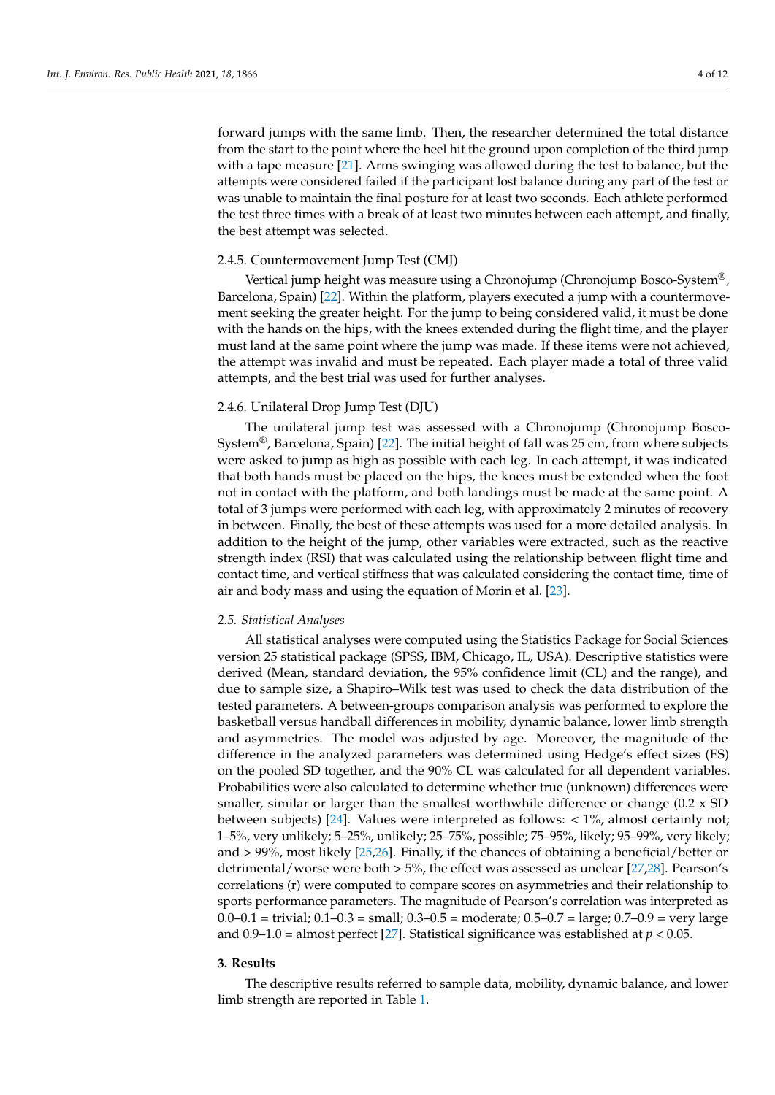forward jumps with the same limb. Then, the researcher determined the total distance from the start to the point where the heel hit the ground upon completion of the third jump with a tape measure [\[21\]](#page-10-20). Arms swinging was allowed during the test to balance, but the attempts were considered failed if the participant lost balance during any part of the test or was unable to maintain the final posture for at least two seconds. Each athlete performed the test three times with a break of at least two minutes between each attempt, and finally, the best attempt was selected.

#### 2.4.5. Countermovement Jump Test (CMJ)

Vertical jump height was measure using a Chronojump (Chronojump Bosco-System®, Barcelona, Spain) [\[22\]](#page-10-21). Within the platform, players executed a jump with a countermovement seeking the greater height. For the jump to being considered valid, it must be done with the hands on the hips, with the knees extended during the flight time, and the player must land at the same point where the jump was made. If these items were not achieved, the attempt was invalid and must be repeated. Each player made a total of three valid attempts, and the best trial was used for further analyses.

## 2.4.6. Unilateral Drop Jump Test (DJU)

The unilateral jump test was assessed with a Chronojump (Chronojump Bosco-System®, Barcelona, Spain) [\[22\]](#page-10-21). The initial height of fall was 25 cm, from where subjects were asked to jump as high as possible with each leg. In each attempt, it was indicated that both hands must be placed on the hips, the knees must be extended when the foot not in contact with the platform, and both landings must be made at the same point. A total of 3 jumps were performed with each leg, with approximately 2 minutes of recovery in between. Finally, the best of these attempts was used for a more detailed analysis. In addition to the height of the jump, other variables were extracted, such as the reactive strength index (RSI) that was calculated using the relationship between flight time and contact time, and vertical stiffness that was calculated considering the contact time, time of air and body mass and using the equation of Morin et al. [\[23\]](#page-10-22).

#### *2.5. Statistical Analyses*

All statistical analyses were computed using the Statistics Package for Social Sciences version 25 statistical package (SPSS, IBM, Chicago, IL, USA). Descriptive statistics were derived (Mean, standard deviation, the 95% confidence limit (CL) and the range), and due to sample size, a Shapiro–Wilk test was used to check the data distribution of the tested parameters. A between-groups comparison analysis was performed to explore the basketball versus handball differences in mobility, dynamic balance, lower limb strength and asymmetries. The model was adjusted by age. Moreover, the magnitude of the difference in the analyzed parameters was determined using Hedge's effect sizes (ES) on the pooled SD together, and the 90% CL was calculated for all dependent variables. Probabilities were also calculated to determine whether true (unknown) differences were smaller, similar or larger than the smallest worthwhile difference or change  $(0.2 \times SD)$ between subjects) [\[24\]](#page-10-23). Values were interpreted as follows: < 1%, almost certainly not; 1–5%, very unlikely; 5–25%, unlikely; 25–75%, possible; 75–95%, likely; 95–99%, very likely; and > 99%, most likely [\[25](#page-10-24)[,26\]](#page-10-25). Finally, if the chances of obtaining a beneficial/better or detrimental/worse were both > 5%, the effect was assessed as unclear [\[27](#page-11-0)[,28\]](#page-11-1). Pearson's correlations (r) were computed to compare scores on asymmetries and their relationship to sports performance parameters. The magnitude of Pearson's correlation was interpreted as  $0.0-0.1$  = trivial;  $0.1-0.3$  = small;  $0.3-0.5$  = moderate;  $0.5-0.7$  = large;  $0.7-0.9$  = very large and  $0.9-1.0 =$  almost perfect [\[27\]](#page-11-0). Statistical significance was established at  $p < 0.05$ .

#### **3. Results**

The descriptive results referred to sample data, mobility, dynamic balance, and lower limb strength are reported in Table [1.](#page-4-0)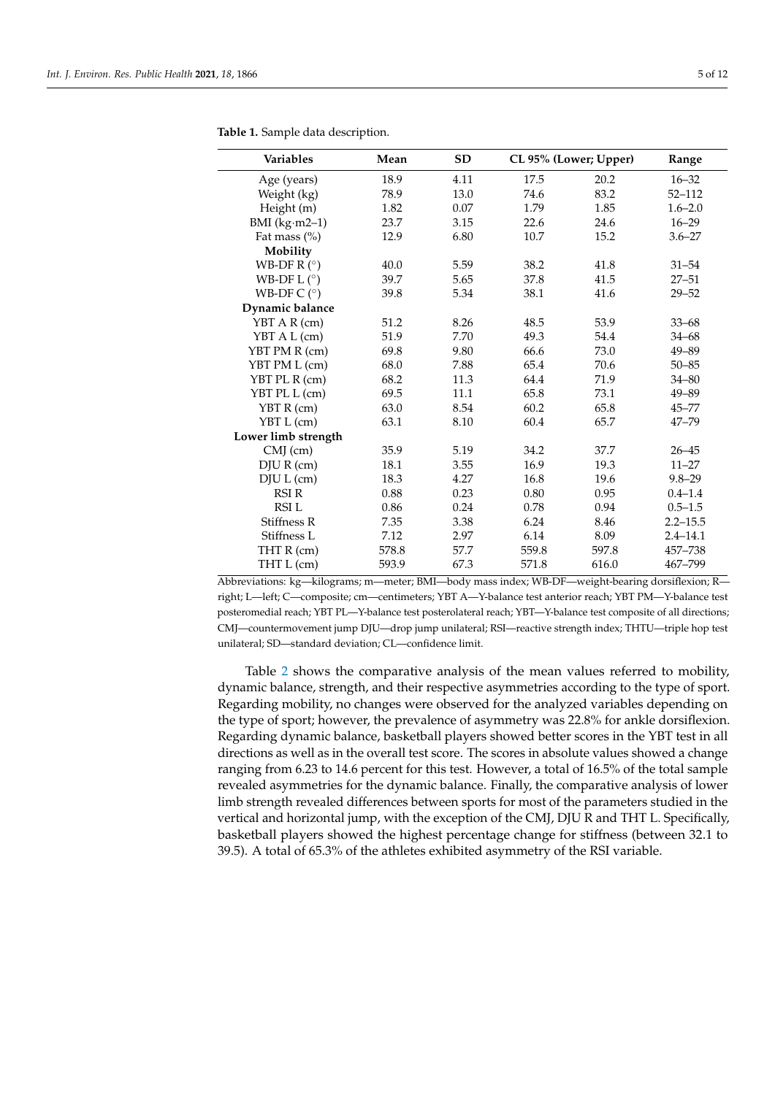| <b>Variables</b>      | Mean  | <b>SD</b> |       | CL 95% (Lower; Upper) | Range        |
|-----------------------|-------|-----------|-------|-----------------------|--------------|
| Age (years)           | 18.9  | 4.11      | 17.5  | 20.2                  | $16 - 32$    |
| Weight (kg)           | 78.9  | 13.0      | 74.6  | 83.2                  | $52 - 112$   |
| Height (m)            | 1.82  | 0.07      | 1.79  | 1.85                  | $1.6 - 2.0$  |
| BMI $(kg·m2-1)$       | 23.7  | 3.15      | 22.6  | 24.6                  | $16 - 29$    |
| Fat mass (%)          | 12.9  | 6.80      | 10.7  | 15.2                  | $3.6 - 27$   |
| Mobility              |       |           |       |                       |              |
| WB-DF R $(°)$         | 40.0  | 5.59      | 38.2  | 41.8                  | $31 - 54$    |
| WB-DF L $(^\circ)$    | 39.7  | 5.65      | 37.8  | 41.5                  | $27 - 51$    |
| WB-DF $C$ ( $\circ$ ) | 39.8  | 5.34      | 38.1  | 41.6                  | $29 - 52$    |
| Dynamic balance       |       |           |       |                       |              |
| YBT A R (cm)          | 51.2  | 8.26      | 48.5  | 53.9                  | $33 - 68$    |
| YBT A L (cm)          | 51.9  | 7.70      | 49.3  | 54.4                  | $34 - 68$    |
| YBT PM R (cm)         | 69.8  | 9.80      | 66.6  | 73.0                  | $49 - 89$    |
| YBT PM L (cm)         | 68.0  | 7.88      | 65.4  | 70.6                  | $50 - 85$    |
| YBT PL R (cm)         | 68.2  | 11.3      | 64.4  | 71.9                  | $34 - 80$    |
| YBT PL L (cm)         | 69.5  | 11.1      | 65.8  | 73.1                  | $49 - 89$    |
| YBT R (cm)            | 63.0  | 8.54      | 60.2  | 65.8                  | $45 - 77$    |
| YBT L (cm)            | 63.1  | 8.10      | 60.4  | 65.7                  | $47 - 79$    |
| Lower limb strength   |       |           |       |                       |              |
| $CMJ$ (cm)            | 35.9  | 5.19      | 34.2  | 37.7                  | $26 - 45$    |
| DJU R (cm)            | 18.1  | 3.55      | 16.9  | 19.3                  | $11 - 27$    |
| DJU L (cm)            | 18.3  | 4.27      | 16.8  | 19.6                  | $9.8 - 29$   |
| RSI R                 | 0.88  | 0.23      | 0.80  | 0.95                  | $0.4 - 1.4$  |
| <b>RSIL</b>           | 0.86  | 0.24      | 0.78  | 0.94                  | $0.5 - 1.5$  |
| Stiffness R           | 7.35  | 3.38      | 6.24  | 8.46                  | $2.2 - 15.5$ |
| Stiffness L           | 7.12  | 2.97      | 6.14  | 8.09                  | $2.4 - 14.1$ |
| THT R (cm)            | 578.8 | 57.7      | 559.8 | 597.8                 | 457-738      |
| THT L (cm)            | 593.9 | 67.3      | 571.8 | 616.0                 | 467-799      |

<span id="page-4-0"></span>**Table 1.** Sample data description.

Abbreviations: kg—kilograms; m—meter; BMI—body mass index; WB-DF—weight-bearing dorsiflexion; R right; L—left; C—composite; cm—centimeters; YBT A—Y-balance test anterior reach; YBT PM—Y-balance test posteromedial reach; YBT PL—Y-balance test posterolateral reach; YBT—Y-balance test composite of all directions; CMJ—countermovement jump DJU—drop jump unilateral; RSI—reactive strength index; THTU—triple hop test unilateral; SD—standard deviation; CL—confidence limit.

Table [2](#page-5-0) shows the comparative analysis of the mean values referred to mobility, dynamic balance, strength, and their respective asymmetries according to the type of sport. Regarding mobility, no changes were observed for the analyzed variables depending on the type of sport; however, the prevalence of asymmetry was 22.8% for ankle dorsiflexion. Regarding dynamic balance, basketball players showed better scores in the YBT test in all directions as well as in the overall test score. The scores in absolute values showed a change ranging from 6.23 to 14.6 percent for this test. However, a total of 16.5% of the total sample revealed asymmetries for the dynamic balance. Finally, the comparative analysis of lower limb strength revealed differences between sports for most of the parameters studied in the vertical and horizontal jump, with the exception of the CMJ, DJU R and THT L. Specifically, basketball players showed the highest percentage change for stiffness (between 32.1 to 39.5). A total of 65.3% of the athletes exhibited asymmetry of the RSI variable.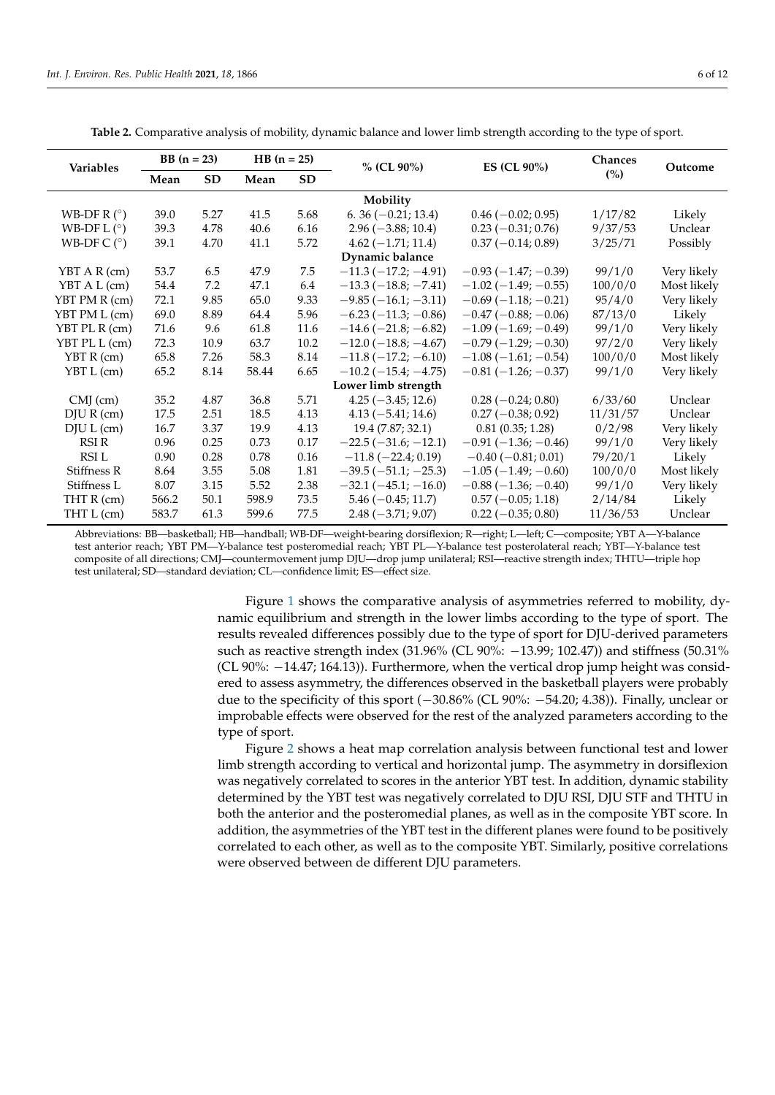<span id="page-5-0"></span>

|                         | $BB (n = 23)$ |           | $HB (n = 25)$ |           |                               |                           | Chances  |             |  |  |  |
|-------------------------|---------------|-----------|---------------|-----------|-------------------------------|---------------------------|----------|-------------|--|--|--|
| Variables               | Mean          | <b>SD</b> | Mean          | <b>SD</b> | $%$ (CL 90%)                  | ES (CL 90%)               | (%)      | Outcome     |  |  |  |
| Mobility                |               |           |               |           |                               |                           |          |             |  |  |  |
| WB-DF R $(^\circ)$      | 39.0          | 5.27      | 41.5          | 5.68      | $6.36(-0.21; 13.4)$           | $0.46 (-0.02; 0.95)$      | 1/17/82  | Likely      |  |  |  |
| WB-DF L $(°)$           | 39.3          | 4.78      | 40.6          | 6.16      | $2.96 (-3.88; 10.4)$          | $0.23(-0.31; 0.76)$       | 9/37/53  | Unclear     |  |  |  |
| WB-DF $C$ ( $\degree$ ) | 39.1          | 4.70      | 41.1          | 5.72      | $4.62(-1.71; 11.4)$           | $0.37(-0.14; 0.89)$       | 3/25/71  | Possibly    |  |  |  |
| Dynamic balance         |               |           |               |           |                               |                           |          |             |  |  |  |
| YBT A R (cm)            | 53.7          | 6.5       | 47.9          | 7.5       | $-11.3(-17.2; -4.91)$         | $-0.93(-1.47; -0.39)$     | 99/1/0   | Very likely |  |  |  |
| YBT A L (cm)            | 54.4          | 7.2       | 47.1          | 6.4       | $-13.3(-18.8; -7.41)$         | $-1.02(-1.49; -0.55)$     | 100/0/0  | Most likely |  |  |  |
| YBT PM R (cm)           | 72.1          | 9.85      | 65.0          | 9.33      | $-9.85(-16.1; -3.11)$         | $-0.69(-1.18; -0.21)$     | 95/4/0   | Very likely |  |  |  |
| YBT PM L (cm)           | 69.0          | 8.89      | 64.4          | 5.96      | $-6.23(-11.3; -0.86)$         | $-0.47(-0.88; -0.06)$     | 87/13/0  | Likely      |  |  |  |
| YBT PL R (cm)           | 71.6          | 9.6       | 61.8          | 11.6      | $-14.6(-21.8; -6.82)$         | $-1.09(-1.69; -0.49)$     | 99/1/0   | Very likely |  |  |  |
| YBT PL L (cm)           | 72.3          | 10.9      | 63.7          | 10.2      | $-12.0$ ( $-18.8$ ; $-4.67$ ) | $-0.79(-1.29; -0.30)$     | 97/2/0   | Very likely |  |  |  |
| $YBT R$ (cm)            | 65.8          | 7.26      | 58.3          | 8.14      | $-11.8$ ( $-17.2$ ; $-6.10$ ) | $-1.08(-1.61,-0.54)$      | 100/0/0  | Most likely |  |  |  |
| YBT L (cm)              | 65.2          | 8.14      | 58.44         | 6.65      | $-10.2$ ( $-15.4$ ; $-4.75$ ) | $-0.81(-1.26; -0.37)$     | 99/1/0   | Very likely |  |  |  |
| Lower limb strength     |               |           |               |           |                               |                           |          |             |  |  |  |
| $CMJ$ (cm)              | 35.2          | 4.87      | 36.8          | 5.71      | $4.25(-3.45; 12.6)$           | $0.28(-0.24; 0.80)$       | 6/33/60  | Unclear     |  |  |  |
| $DJU R$ (cm)            | 17.5          | 2.51      | 18.5          | 4.13      | $4.13(-5.41; 14.6)$           | $0.27(-0.38; 0.92)$       | 11/31/57 | Unclear     |  |  |  |
| DJU L (cm)              | 16.7          | 3.37      | 19.9          | 4.13      | 19.4 (7.87; 32.1)             | 0.81(0.35; 1.28)          | 0/2/98   | Very likely |  |  |  |
| RSI R                   | 0.96          | 0.25      | 0.73          | 0.17      | $-22.5(-31.6; -12.1)$         | $-0.91(-1.36; -0.46)$     | 99/1/0   | Very likely |  |  |  |
| RSI L                   | 0.90          | 0.28      | 0.78          | 0.16      | $-11.8$ ( $-22.4$ ; 0.19)     | $-0.40$ ( $-0.81$ ; 0.01) | 79/20/1  | Likely      |  |  |  |
| Stiffness R             | 8.64          | 3.55      | 5.08          | 1.81      | $-39.5(-51.1; -25.3)$         | $-1.05(-1.49; -0.60)$     | 100/0/0  | Most likely |  |  |  |
| Stiffness L             | 8.07          | 3.15      | 5.52          | 2.38      | $-32.1(-45.1,-16.0)$          | $-0.88(-1.36; -0.40)$     | 99/1/0   | Very likely |  |  |  |
| THT R (cm)              | 566.2         | 50.1      | 598.9         | 73.5      | $5.46 (-0.45; 11.7)$          | $0.57(-0.05; 1.18)$       | 2/14/84  | Likely      |  |  |  |
| THT L (cm)              | 583.7         | 61.3      | 599.6         | 77.5      | $2.48 (-3.71; 9.07)$          | $0.22(-0.35; 0.80)$       | 11/36/53 | Unclear     |  |  |  |

**Table 2.** Comparative analysis of mobility, dynamic balance and lower limb strength according to the type of sport.

Abbreviations: BB—basketball; HB—handball; WB-DF—weight-bearing dorsiflexion; R—right; L—left; C—composite; YBT A—Y-balance test anterior reach; YBT PM—Y-balance test posteromedial reach; YBT PL—Y-balance test posterolateral reach; YBT—Y-balance test composite of all directions; CMJ—countermovement jump DJU—drop jump unilateral; RSI—reactive strength index; THTU—triple hop test unilateral; SD—standard deviation; CL—confidence limit; ES—effect size.

> Figure [1](#page-6-0) shows the comparative analysis of asymmetries referred to mobility, dynamic equilibrium and strength in the lower limbs according to the type of sport. The results revealed differences possibly due to the type of sport for DJU-derived parameters such as reactive strength index (31.96% (CL 90%: −13.99; 102.47)) and stiffness (50.31% (CL 90%: −14.47; 164.13)). Furthermore, when the vertical drop jump height was considered to assess asymmetry, the differences observed in the basketball players were probably due to the specificity of this sport  $(-30.86\%$  (CL 90%:  $-54.20; 4.38$ )). Finally, unclear or improbable effects were observed for the rest of the analyzed parameters according to the type of sport.

> Figure [2](#page-6-1) shows a heat map correlation analysis between functional test and lower limb strength according to vertical and horizontal jump. The asymmetry in dorsiflexion was negatively correlated to scores in the anterior YBT test. In addition, dynamic stability determined by the YBT test was negatively correlated to DJU RSI, DJU STF and THTU in both the anterior and the posteromedial planes, as well as in the composite YBT score. In addition, the asymmetries of the YBT test in the different planes were found to be positively correlated to each other, as well as to the composite YBT. Similarly, positive correlations were observed between de different DJU parameters.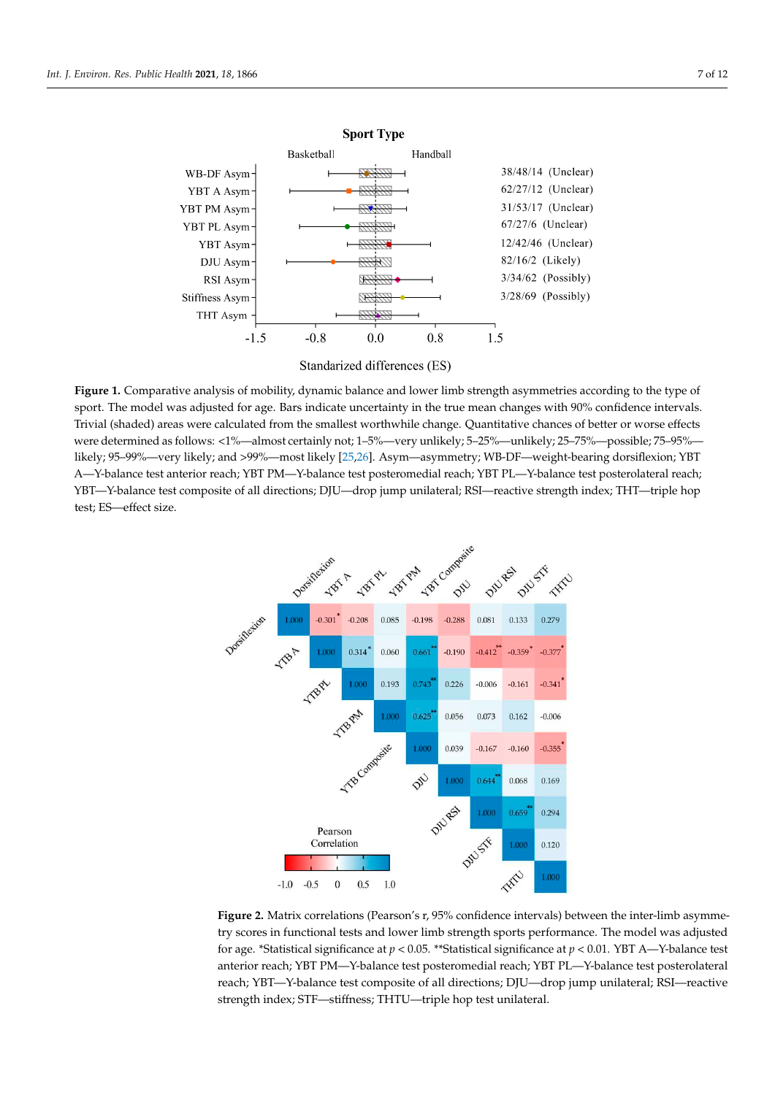<span id="page-6-0"></span>



 **Figure 1.** Comparative analysis of mobility, dynamic balance and lower limb strength asymmetries according to the type of sport. The model was adjusted for age. Bars indicate uncertainty in the true mean changes with 90% confidence intervals. Trivial (shaded) areas were calculated from the smallest worthwhile change. Quantitative chances of better or worse effects were determined as follows: <1%—almost certainly not; 1–5%—very unlikely; 5–25%—unlikely; 25–75%—possible; 75–95% likely; 95–99%—very likely; and >99%—most likely [\[25](#page-10-24)[,26\]](#page-10-25). Asym—asymmetry; WB-DF—weight-bearing dorsiflexion; YBT A—Y-balance test anterior reach; YBT PM—Y-balance test posteromedial reach; YBT PL—Y-balance test posterolateral reach; YBT—Y-balance test composite of all directions; DJU—drop jump unilateral; RSI—reactive strength index; THT—triple hop test; ES—effect size.

<span id="page-6-1"></span>

Figure 2. Matrix correlations (Pearson's r, 95% confidence intervals) between the inter-limb asymmetry scores in functional tests and lower limb strength sports performance. The model was adjusted for age. \*Statistical significance at *p* < 0.05. \*\*Statistical significance at *p* < 0.01. YBT A—Y-balance test anterior reach; YBT PM—Y-balance test posteromedial reach; YBT PL—Y-balance test posterolateral reach; YBT—Y-balance test composite of all directions; DJU—drop jump unilateral; RSI—reactive strength index; STF—stiffness; THTU—triple hop test unilateral.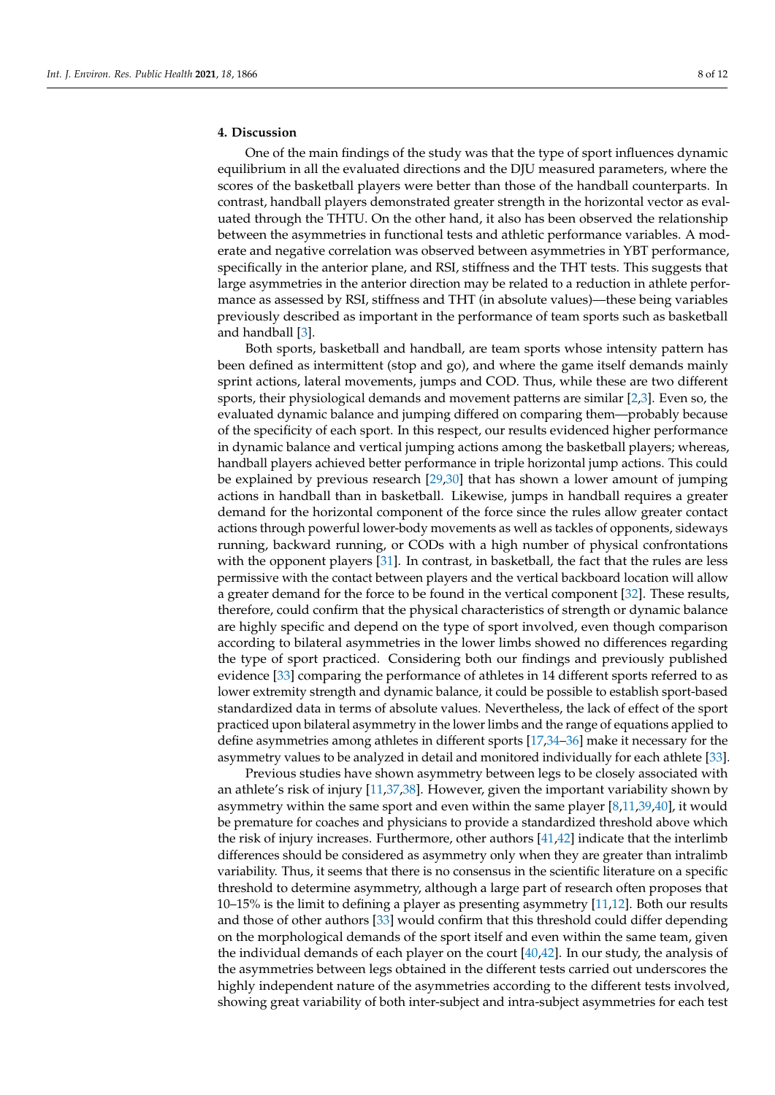## **4. Discussion**

One of the main findings of the study was that the type of sport influences dynamic equilibrium in all the evaluated directions and the DJU measured parameters, where the scores of the basketball players were better than those of the handball counterparts. In contrast, handball players demonstrated greater strength in the horizontal vector as evaluated through the THTU. On the other hand, it also has been observed the relationship between the asymmetries in functional tests and athletic performance variables. A moderate and negative correlation was observed between asymmetries in YBT performance, specifically in the anterior plane, and RSI, stiffness and the THT tests. This suggests that large asymmetries in the anterior direction may be related to a reduction in athlete performance as assessed by RSI, stiffness and THT (in absolute values)—these being variables previously described as important in the performance of team sports such as basketball and handball [\[3\]](#page-10-2).

Both sports, basketball and handball, are team sports whose intensity pattern has been defined as intermittent (stop and go), and where the game itself demands mainly sprint actions, lateral movements, jumps and COD. Thus, while these are two different sports, their physiological demands and movement patterns are similar [\[2,](#page-10-1)[3\]](#page-10-2). Even so, the evaluated dynamic balance and jumping differed on comparing them—probably because of the specificity of each sport. In this respect, our results evidenced higher performance in dynamic balance and vertical jumping actions among the basketball players; whereas, handball players achieved better performance in triple horizontal jump actions. This could be explained by previous research [\[29](#page-11-2)[,30\]](#page-11-3) that has shown a lower amount of jumping actions in handball than in basketball. Likewise, jumps in handball requires a greater demand for the horizontal component of the force since the rules allow greater contact actions through powerful lower-body movements as well as tackles of opponents, sideways running, backward running, or CODs with a high number of physical confrontations with the opponent players [\[31\]](#page-11-4). In contrast, in basketball, the fact that the rules are less permissive with the contact between players and the vertical backboard location will allow a greater demand for the force to be found in the vertical component [\[32\]](#page-11-5). These results, therefore, could confirm that the physical characteristics of strength or dynamic balance are highly specific and depend on the type of sport involved, even though comparison according to bilateral asymmetries in the lower limbs showed no differences regarding the type of sport practiced. Considering both our findings and previously published evidence [\[33\]](#page-11-6) comparing the performance of athletes in 14 different sports referred to as lower extremity strength and dynamic balance, it could be possible to establish sport-based standardized data in terms of absolute values. Nevertheless, the lack of effect of the sport practiced upon bilateral asymmetry in the lower limbs and the range of equations applied to define asymmetries among athletes in different sports [\[17,](#page-10-16)[34](#page-11-7)[–36\]](#page-11-8) make it necessary for the asymmetry values to be analyzed in detail and monitored individually for each athlete [\[33\]](#page-11-6).

Previous studies have shown asymmetry between legs to be closely associated with an athlete's risk of injury [\[11,](#page-10-10)[37,](#page-11-9)[38\]](#page-11-10). However, given the important variability shown by asymmetry within the same sport and even within the same player [\[8,](#page-10-7)[11,](#page-10-10)[39,](#page-11-11)[40\]](#page-11-12), it would be premature for coaches and physicians to provide a standardized threshold above which the risk of injury increases. Furthermore, other authors [\[41](#page-11-13)[,42\]](#page-11-14) indicate that the interlimb differences should be considered as asymmetry only when they are greater than intralimb variability. Thus, it seems that there is no consensus in the scientific literature on a specific threshold to determine asymmetry, although a large part of research often proposes that 10–15% is the limit to defining a player as presenting asymmetry [\[11,](#page-10-10)[12\]](#page-10-11). Both our results and those of other authors [\[33\]](#page-11-6) would confirm that this threshold could differ depending on the morphological demands of the sport itself and even within the same team, given the individual demands of each player on the court  $[40,42]$  $[40,42]$ . In our study, the analysis of the asymmetries between legs obtained in the different tests carried out underscores the highly independent nature of the asymmetries according to the different tests involved, showing great variability of both inter-subject and intra-subject asymmetries for each test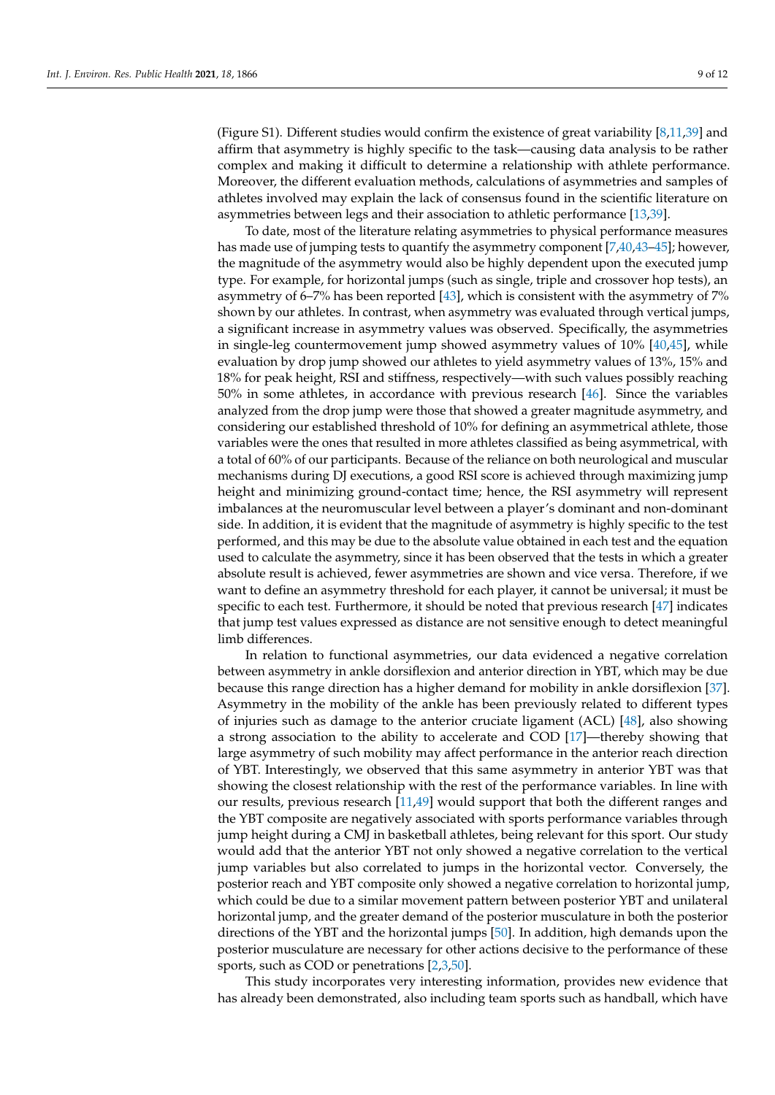(Figure S1). Different studies would confirm the existence of great variability [\[8](#page-10-7)[,11](#page-10-10)[,39\]](#page-11-11) and affirm that asymmetry is highly specific to the task—causing data analysis to be rather complex and making it difficult to determine a relationship with athlete performance. Moreover, the different evaluation methods, calculations of asymmetries and samples of athletes involved may explain the lack of consensus found in the scientific literature on asymmetries between legs and their association to athletic performance [\[13](#page-10-12)[,39\]](#page-11-11).

To date, most of the literature relating asymmetries to physical performance measures has made use of jumping tests to quantify the asymmetry component [\[7](#page-10-6)[,40,](#page-11-12)[43](#page-11-15)-45]; however, the magnitude of the asymmetry would also be highly dependent upon the executed jump type. For example, for horizontal jumps (such as single, triple and crossover hop tests), an asymmetry of 6–7% has been reported [\[43\]](#page-11-15), which is consistent with the asymmetry of 7% shown by our athletes. In contrast, when asymmetry was evaluated through vertical jumps, a significant increase in asymmetry values was observed. Specifically, the asymmetries in single-leg countermovement jump showed asymmetry values of 10% [\[40,](#page-11-12)[45\]](#page-11-16), while evaluation by drop jump showed our athletes to yield asymmetry values of 13%, 15% and 18% for peak height, RSI and stiffness, respectively—with such values possibly reaching 50% in some athletes, in accordance with previous research [\[46\]](#page-11-17). Since the variables analyzed from the drop jump were those that showed a greater magnitude asymmetry, and considering our established threshold of 10% for defining an asymmetrical athlete, those variables were the ones that resulted in more athletes classified as being asymmetrical, with a total of 60% of our participants. Because of the reliance on both neurological and muscular mechanisms during DJ executions, a good RSI score is achieved through maximizing jump height and minimizing ground-contact time; hence, the RSI asymmetry will represent imbalances at the neuromuscular level between a player's dominant and non-dominant side. In addition, it is evident that the magnitude of asymmetry is highly specific to the test performed, and this may be due to the absolute value obtained in each test and the equation used to calculate the asymmetry, since it has been observed that the tests in which a greater absolute result is achieved, fewer asymmetries are shown and vice versa. Therefore, if we want to define an asymmetry threshold for each player, it cannot be universal; it must be specific to each test. Furthermore, it should be noted that previous research [\[47\]](#page-11-18) indicates that jump test values expressed as distance are not sensitive enough to detect meaningful limb differences.

In relation to functional asymmetries, our data evidenced a negative correlation between asymmetry in ankle dorsiflexion and anterior direction in YBT, which may be due because this range direction has a higher demand for mobility in ankle dorsiflexion [\[37\]](#page-11-9). Asymmetry in the mobility of the ankle has been previously related to different types of injuries such as damage to the anterior cruciate ligament (ACL) [\[48\]](#page-11-19), also showing a strong association to the ability to accelerate and COD [\[17\]](#page-10-16)—thereby showing that large asymmetry of such mobility may affect performance in the anterior reach direction of YBT. Interestingly, we observed that this same asymmetry in anterior YBT was that showing the closest relationship with the rest of the performance variables. In line with our results, previous research [\[11,](#page-10-10)[49\]](#page-11-20) would support that both the different ranges and the YBT composite are negatively associated with sports performance variables through jump height during a CMJ in basketball athletes, being relevant for this sport. Our study would add that the anterior YBT not only showed a negative correlation to the vertical jump variables but also correlated to jumps in the horizontal vector. Conversely, the posterior reach and YBT composite only showed a negative correlation to horizontal jump, which could be due to a similar movement pattern between posterior YBT and unilateral horizontal jump, and the greater demand of the posterior musculature in both the posterior directions of the YBT and the horizontal jumps [\[50\]](#page-11-21). In addition, high demands upon the posterior musculature are necessary for other actions decisive to the performance of these sports, such as COD or penetrations [\[2](#page-10-1)[,3](#page-10-2)[,50\]](#page-11-21).

This study incorporates very interesting information, provides new evidence that has already been demonstrated, also including team sports such as handball, which have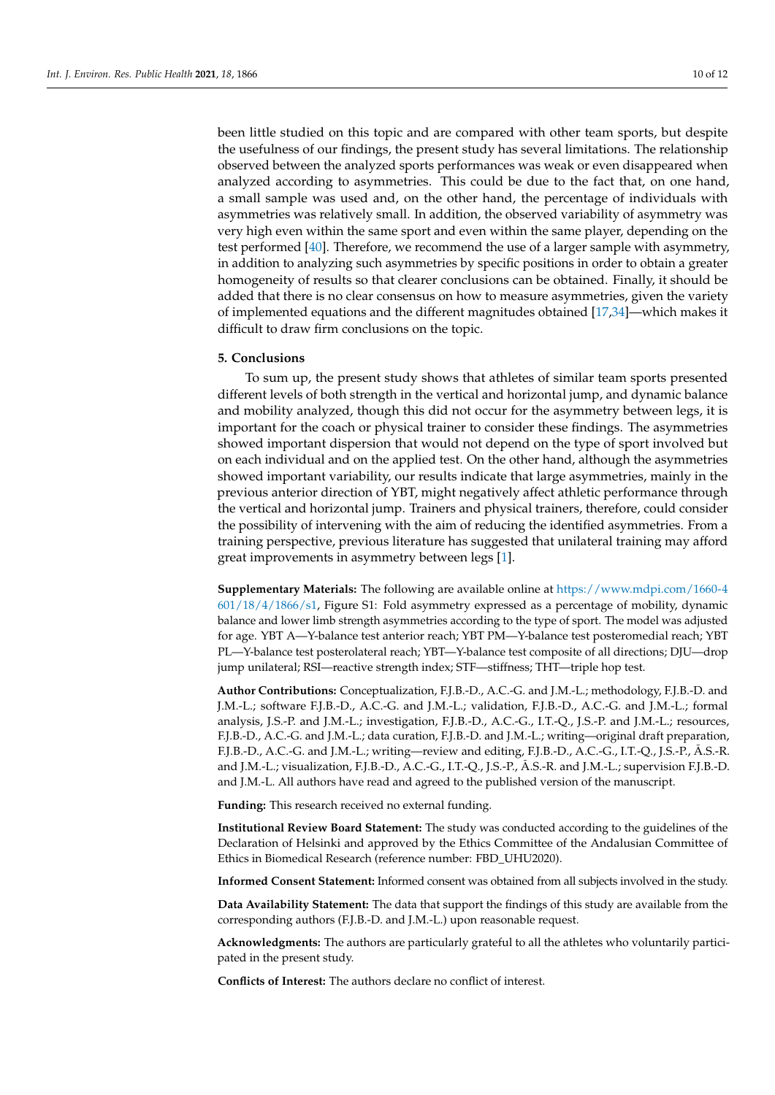been little studied on this topic and are compared with other team sports, but despite the usefulness of our findings, the present study has several limitations. The relationship observed between the analyzed sports performances was weak or even disappeared when analyzed according to asymmetries. This could be due to the fact that, on one hand, a small sample was used and, on the other hand, the percentage of individuals with asymmetries was relatively small. In addition, the observed variability of asymmetry was very high even within the same sport and even within the same player, depending on the test performed [\[40\]](#page-11-12). Therefore, we recommend the use of a larger sample with asymmetry, in addition to analyzing such asymmetries by specific positions in order to obtain a greater homogeneity of results so that clearer conclusions can be obtained. Finally, it should be added that there is no clear consensus on how to measure asymmetries, given the variety of implemented equations and the different magnitudes obtained [\[17,](#page-10-16)[34\]](#page-11-7)—which makes it difficult to draw firm conclusions on the topic.

#### **5. Conclusions**

To sum up, the present study shows that athletes of similar team sports presented different levels of both strength in the vertical and horizontal jump, and dynamic balance and mobility analyzed, though this did not occur for the asymmetry between legs, it is important for the coach or physical trainer to consider these findings. The asymmetries showed important dispersion that would not depend on the type of sport involved but on each individual and on the applied test. On the other hand, although the asymmetries showed important variability, our results indicate that large asymmetries, mainly in the previous anterior direction of YBT, might negatively affect athletic performance through the vertical and horizontal jump. Trainers and physical trainers, therefore, could consider the possibility of intervening with the aim of reducing the identified asymmetries. From a training perspective, previous literature has suggested that unilateral training may afford great improvements in asymmetry between legs [\[1\]](#page-10-0).

**Supplementary Materials:** The following are available online at [https://www.mdpi.com/1660-4](https://www.mdpi.com/1660-4601/18/4/1866/s1) [601/18/4/1866/s1,](https://www.mdpi.com/1660-4601/18/4/1866/s1) Figure S1: Fold asymmetry expressed as a percentage of mobility, dynamic balance and lower limb strength asymmetries according to the type of sport. The model was adjusted for age. YBT A—Y-balance test anterior reach; YBT PM—Y-balance test posteromedial reach; YBT PL—Y-balance test posterolateral reach; YBT—Y-balance test composite of all directions; DJU—drop jump unilateral; RSI—reactive strength index; STF—stiffness; THT—triple hop test.

**Author Contributions:** Conceptualization, F.J.B.-D., A.C.-G. and J.M.-L.; methodology, F.J.B.-D. and J.M.-L.; software F.J.B.-D., A.C.-G. and J.M.-L.; validation, F.J.B.-D., A.C.-G. and J.M.-L.; formal analysis, J.S.-P. and J.M.-L.; investigation, F.J.B.-D., A.C.-G., I.T.-Q., J.S.-P. and J.M.-L.; resources, F.J.B.-D., A.C.-G. and J.M.-L.; data curation, F.J.B.-D. and J.M.-L.; writing—original draft preparation, F.J.B.-D., A.C.-G. and J.M.-L.; writing—review and editing, F.J.B.-D., A.C.-G., I.T.-Q., J.S.-P., Ã.S.-R. and J.M.-L.; visualization, F.J.B.-D., A.C.-G., I.T.-Q., J.S.-P., Ã.S.-R. and J.M.-L.; supervision F.J.B.-D. and J.M.-L. All authors have read and agreed to the published version of the manuscript.

**Funding:** This research received no external funding.

**Institutional Review Board Statement:** The study was conducted according to the guidelines of the Declaration of Helsinki and approved by the Ethics Committee of the Andalusian Committee of Ethics in Biomedical Research (reference number: FBD\_UHU2020).

**Informed Consent Statement:** Informed consent was obtained from all subjects involved in the study.

**Data Availability Statement:** The data that support the findings of this study are available from the corresponding authors (F.J.B.-D. and J.M.-L.) upon reasonable request.

**Acknowledgments:** The authors are particularly grateful to all the athletes who voluntarily participated in the present study.

**Conflicts of Interest:** The authors declare no conflict of interest.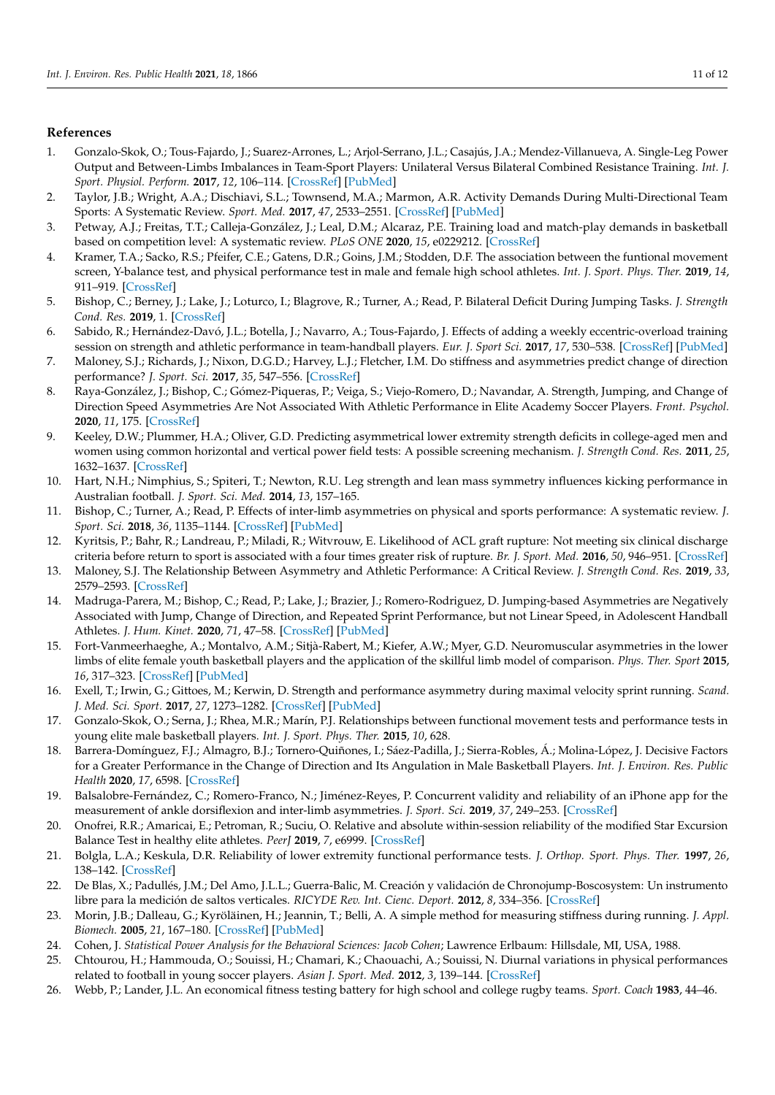### **References**

- <span id="page-10-0"></span>1. Gonzalo-Skok, O.; Tous-Fajardo, J.; Suarez-Arrones, L.; Arjol-Serrano, J.L.; Casajús, J.A.; Mendez-Villanueva, A. Single-Leg Power Output and Between-Limbs Imbalances in Team-Sport Players: Unilateral Versus Bilateral Combined Resistance Training. *Int. J. Sport. Physiol. Perform.* **2017**, *12*, 106–114. [\[CrossRef\]](http://doi.org/10.1123/ijspp.2015-0743) [\[PubMed\]](http://www.ncbi.nlm.nih.gov/pubmed/27140680)
- <span id="page-10-1"></span>2. Taylor, J.B.; Wright, A.A.; Dischiavi, S.L.; Townsend, M.A.; Marmon, A.R. Activity Demands During Multi-Directional Team Sports: A Systematic Review. *Sport. Med.* **2017**, *47*, 2533–2551. [\[CrossRef\]](http://doi.org/10.1007/s40279-017-0772-5) [\[PubMed\]](http://www.ncbi.nlm.nih.gov/pubmed/28801751)
- <span id="page-10-2"></span>3. Petway, A.J.; Freitas, T.T.; Calleja-González, J.; Leal, D.M.; Alcaraz, P.E. Training load and match-play demands in basketball based on competition level: A systematic review. *PLoS ONE* **2020**, *15*, e0229212. [\[CrossRef\]](http://doi.org/10.1371/journal.pone.0229212)
- <span id="page-10-3"></span>4. Kramer, T.A.; Sacko, R.S.; Pfeifer, C.E.; Gatens, D.R.; Goins, J.M.; Stodden, D.F. The association between the funtional movement screen, Y-balance test, and physical performance test in male and female high school athletes. *Int. J. Sport. Phys. Ther.* **2019**, *14*, 911–919. [\[CrossRef\]](http://doi.org/10.26603/ijspt20190911)
- <span id="page-10-4"></span>5. Bishop, C.; Berney, J.; Lake, J.; Loturco, I.; Blagrove, R.; Turner, A.; Read, P. Bilateral Deficit During Jumping Tasks. *J. Strength Cond. Res.* **2019**, 1. [\[CrossRef\]](http://doi.org/10.1519/JSC.0000000000003075)
- <span id="page-10-5"></span>6. Sabido, R.; Hernández-Davó, J.L.; Botella, J.; Navarro, A.; Tous-Fajardo, J. Effects of adding a weekly eccentric-overload training session on strength and athletic performance in team-handball players. *Eur. J. Sport Sci.* **2017**, *17*, 530–538. [\[CrossRef\]](http://doi.org/10.1080/17461391.2017.1282046) [\[PubMed\]](http://www.ncbi.nlm.nih.gov/pubmed/28152673)
- <span id="page-10-6"></span>7. Maloney, S.J.; Richards, J.; Nixon, D.G.D.; Harvey, L.J.; Fletcher, I.M. Do stiffness and asymmetries predict change of direction performance? *J. Sport. Sci.* **2017**, *35*, 547–556. [\[CrossRef\]](http://doi.org/10.1080/02640414.2016.1179775)
- <span id="page-10-7"></span>8. Raya-González, J.; Bishop, C.; Gómez-Piqueras, P.; Veiga, S.; Viejo-Romero, D.; Navandar, A. Strength, Jumping, and Change of Direction Speed Asymmetries Are Not Associated With Athletic Performance in Elite Academy Soccer Players. *Front. Psychol.* **2020**, *11*, 175. [\[CrossRef\]](http://doi.org/10.3389/fpsyg.2020.00175)
- <span id="page-10-8"></span>9. Keeley, D.W.; Plummer, H.A.; Oliver, G.D. Predicting asymmetrical lower extremity strength deficits in college-aged men and women using common horizontal and vertical power field tests: A possible screening mechanism. *J. Strength Cond. Res.* **2011**, *25*, 1632–1637. [\[CrossRef\]](http://doi.org/10.1519/JSC.0b013e3181ddf690)
- <span id="page-10-9"></span>10. Hart, N.H.; Nimphius, S.; Spiteri, T.; Newton, R.U. Leg strength and lean mass symmetry influences kicking performance in Australian football. *J. Sport. Sci. Med.* **2014**, *13*, 157–165.
- <span id="page-10-10"></span>11. Bishop, C.; Turner, A.; Read, P. Effects of inter-limb asymmetries on physical and sports performance: A systematic review. *J. Sport. Sci.* **2018**, *36*, 1135–1144. [\[CrossRef\]](http://doi.org/10.1080/02640414.2017.1361894) [\[PubMed\]](http://www.ncbi.nlm.nih.gov/pubmed/28767317)
- <span id="page-10-11"></span>12. Kyritsis, P.; Bahr, R.; Landreau, P.; Miladi, R.; Witvrouw, E. Likelihood of ACL graft rupture: Not meeting six clinical discharge criteria before return to sport is associated with a four times greater risk of rupture. *Br. J. Sport. Med.* **2016**, *50*, 946–951. [\[CrossRef\]](http://doi.org/10.1136/bjsports-2015-095908)
- <span id="page-10-12"></span>13. Maloney, S.J. The Relationship Between Asymmetry and Athletic Performance: A Critical Review. *J. Strength Cond. Res.* **2019**, *33*, 2579–2593. [\[CrossRef\]](http://doi.org/10.1519/JSC.0000000000002608)
- <span id="page-10-13"></span>14. Madruga-Parera, M.; Bishop, C.; Read, P.; Lake, J.; Brazier, J.; Romero-Rodriguez, D. Jumping-based Asymmetries are Negatively Associated with Jump, Change of Direction, and Repeated Sprint Performance, but not Linear Speed, in Adolescent Handball Athletes. *J. Hum. Kinet.* **2020**, *71*, 47–58. [\[CrossRef\]](http://doi.org/10.2478/hukin-2019-0095) [\[PubMed\]](http://www.ncbi.nlm.nih.gov/pubmed/32148572)
- <span id="page-10-14"></span>15. Fort-Vanmeerhaeghe, A.; Montalvo, A.M.; Sitjà-Rabert, M.; Kiefer, A.W.; Myer, G.D. Neuromuscular asymmetries in the lower limbs of elite female youth basketball players and the application of the skillful limb model of comparison. *Phys. Ther. Sport* **2015**, *16*, 317–323. [\[CrossRef\]](http://doi.org/10.1016/j.ptsp.2015.01.003) [\[PubMed\]](http://www.ncbi.nlm.nih.gov/pubmed/26093377)
- <span id="page-10-15"></span>16. Exell, T.; Irwin, G.; Gittoes, M.; Kerwin, D. Strength and performance asymmetry during maximal velocity sprint running. *Scand. J. Med. Sci. Sport.* **2017**, *27*, 1273–1282. [\[CrossRef\]](http://doi.org/10.1111/sms.12759) [\[PubMed\]](http://www.ncbi.nlm.nih.gov/pubmed/27671707)
- <span id="page-10-16"></span>17. Gonzalo-Skok, O.; Serna, J.; Rhea, M.R.; Marín, P.J. Relationships between functional movement tests and performance tests in young elite male basketball players. *Int. J. Sport. Phys. Ther.* **2015**, *10*, 628.
- <span id="page-10-17"></span>18. Barrera-Domínguez, F.J.; Almagro, B.J.; Tornero-Quiñones, I.; Sáez-Padilla, J.; Sierra-Robles, Á.; Molina-López, J. Decisive Factors for a Greater Performance in the Change of Direction and Its Angulation in Male Basketball Players. *Int. J. Environ. Res. Public Health* **2020**, *17*, 6598. [\[CrossRef\]](http://doi.org/10.3390/ijerph17186598)
- <span id="page-10-18"></span>19. Balsalobre-Fernández, C.; Romero-Franco, N.; Jiménez-Reyes, P. Concurrent validity and reliability of an iPhone app for the measurement of ankle dorsiflexion and inter-limb asymmetries. *J. Sport. Sci.* **2019**, *37*, 249–253. [\[CrossRef\]](http://doi.org/10.1080/02640414.2018.1494908)
- <span id="page-10-19"></span>20. Onofrei, R.R.; Amaricai, E.; Petroman, R.; Suciu, O. Relative and absolute within-session reliability of the modified Star Excursion Balance Test in healthy elite athletes. *PeerJ* **2019**, *7*, e6999. [\[CrossRef\]](http://doi.org/10.7717/peerj.6999)
- <span id="page-10-20"></span>21. Bolgla, L.A.; Keskula, D.R. Reliability of lower extremity functional performance tests. *J. Orthop. Sport. Phys. Ther.* **1997**, *26*, 138–142. [\[CrossRef\]](http://doi.org/10.2519/jospt.1997.26.3.138)
- <span id="page-10-21"></span>22. De Blas, X.; Padullés, J.M.; Del Amo, J.L.L.; Guerra-Balic, M. Creación y validación de Chronojump-Boscosystem: Un instrumento libre para la medición de saltos verticales. *RICYDE Rev. Int. Cienc. Deport.* **2012**, *8*, 334–356. [\[CrossRef\]](http://doi.org/10.5232/ricyde2012.03004)
- <span id="page-10-22"></span>23. Morin, J.B.; Dalleau, G.; Kyröläinen, H.; Jeannin, T.; Belli, A. A simple method for measuring stiffness during running. *J. Appl. Biomech.* **2005**, *21*, 167–180. [\[CrossRef\]](http://doi.org/10.1123/jab.21.2.167) [\[PubMed\]](http://www.ncbi.nlm.nih.gov/pubmed/16082017)
- <span id="page-10-23"></span>24. Cohen, J. *Statistical Power Analysis for the Behavioral Sciences: Jacob Cohen*; Lawrence Erlbaum: Hillsdale, MI, USA, 1988.
- <span id="page-10-24"></span>25. Chtourou, H.; Hammouda, O.; Souissi, H.; Chamari, K.; Chaouachi, A.; Souissi, N. Diurnal variations in physical performances related to football in young soccer players. *Asian J. Sport. Med.* **2012**, *3*, 139–144. [\[CrossRef\]](http://doi.org/10.5812/asjsm.34604)
- <span id="page-10-25"></span>26. Webb, P.; Lander, J.L. An economical fitness testing battery for high school and college rugby teams. *Sport. Coach* **1983**, 44–46.